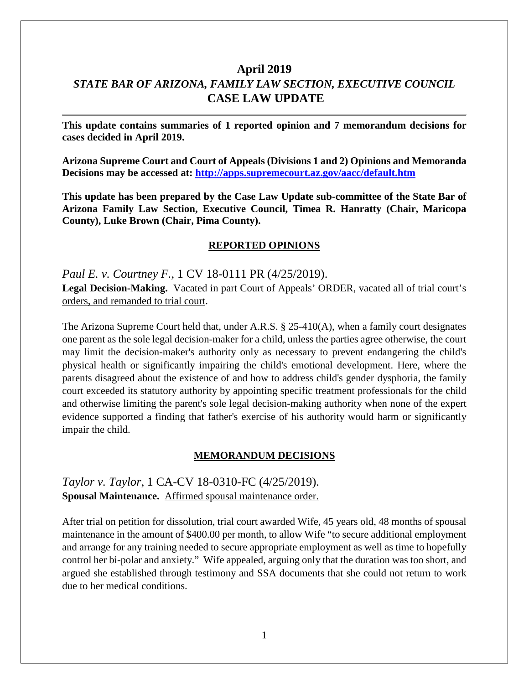# **April 2019** *STATE BAR OF ARIZONA, FAMILY LAW SECTION, EXECUTIVE COUNCIL* **CASE LAW UPDATE**

**This update contains summaries of 1 reported opinion and 7 memorandum decisions for cases decided in April 2019.**

**Arizona Supreme Court and Court of Appeals (Divisions 1 and 2) Opinions and Memoranda Decisions may be accessed at: <http://apps.supremecourt.az.gov/aacc/default.htm>**

**This update has been prepared by the Case Law Update sub-committee of the State Bar of Arizona Family Law Section, Executive Council, Timea R. Hanratty (Chair, Maricopa County), Luke Brown (Chair, Pima County).**

### **REPORTED OPINIONS**

*Paul E. v. Courtney F.,* 1 CV 18-0111 PR (4/25/2019). Legal Decision-Making. Vacated in part Court of Appeals' ORDER, vacated all of trial court's orders, and remanded to trial court.

The Arizona Supreme Court held that, under A.R.S. § 25-410(A), when a family court designates one parent as the sole legal decision-maker for a child, unless the parties agree otherwise, the court may limit the decision-maker's authority only as necessary to prevent endangering the child's physical health or significantly impairing the child's emotional development. Here, where the parents disagreed about the existence of and how to address child's gender dysphoria, the family court exceeded its statutory authority by appointing specific treatment professionals for the child and otherwise limiting the parent's sole legal decision-making authority when none of the expert evidence supported a finding that father's exercise of his authority would harm or significantly impair the child.

### **MEMORANDUM DECISIONS**

*Taylor v. Taylor*, 1 CA-CV 18-0310-FC (4/25/2019). **Spousal Maintenance.** Affirmed spousal maintenance order.

After trial on petition for dissolution, trial court awarded Wife, 45 years old, 48 months of spousal maintenance in the amount of \$400.00 per month, to allow Wife "to secure additional employment and arrange for any training needed to secure appropriate employment as well as time to hopefully control her bi-polar and anxiety." Wife appealed, arguing only that the duration was too short, and argued she established through testimony and SSA documents that she could not return to work due to her medical conditions.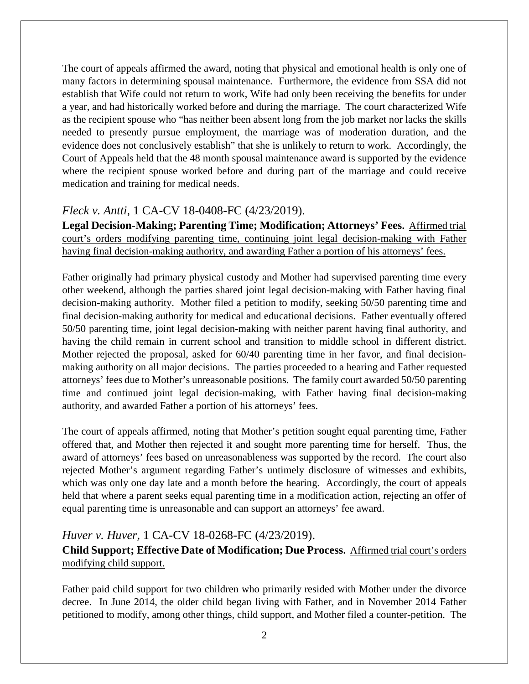The court of appeals affirmed the award, noting that physical and emotional health is only one of many factors in determining spousal maintenance. Furthermore, the evidence from SSA did not establish that Wife could not return to work, Wife had only been receiving the benefits for under a year, and had historically worked before and during the marriage. The court characterized Wife as the recipient spouse who "has neither been absent long from the job market nor lacks the skills needed to presently pursue employment, the marriage was of moderation duration, and the evidence does not conclusively establish" that she is unlikely to return to work. Accordingly, the Court of Appeals held that the 48 month spousal maintenance award is supported by the evidence where the recipient spouse worked before and during part of the marriage and could receive medication and training for medical needs.

## *Fleck v. Antti*, 1 CA-CV 18-0408-FC (4/23/2019).

**Legal Decision-Making; Parenting Time; Modification; Attorneys' Fees.** Affirmed trial court's orders modifying parenting time, continuing joint legal decision-making with Father having final decision-making authority, and awarding Father a portion of his attorneys' fees.

Father originally had primary physical custody and Mother had supervised parenting time every other weekend, although the parties shared joint legal decision-making with Father having final decision-making authority. Mother filed a petition to modify, seeking 50/50 parenting time and final decision-making authority for medical and educational decisions. Father eventually offered 50/50 parenting time, joint legal decision-making with neither parent having final authority, and having the child remain in current school and transition to middle school in different district. Mother rejected the proposal, asked for 60/40 parenting time in her favor, and final decisionmaking authority on all major decisions. The parties proceeded to a hearing and Father requested attorneys' fees due to Mother's unreasonable positions. The family court awarded 50/50 parenting time and continued joint legal decision-making, with Father having final decision-making authority, and awarded Father a portion of his attorneys' fees.

The court of appeals affirmed, noting that Mother's petition sought equal parenting time, Father offered that, and Mother then rejected it and sought more parenting time for herself. Thus, the award of attorneys' fees based on unreasonableness was supported by the record. The court also rejected Mother's argument regarding Father's untimely disclosure of witnesses and exhibits, which was only one day late and a month before the hearing. Accordingly, the court of appeals held that where a parent seeks equal parenting time in a modification action, rejecting an offer of equal parenting time is unreasonable and can support an attorneys' fee award.

## *Huver v. Huver*, 1 CA-CV 18-0268-FC (4/23/2019).

**Child Support; Effective Date of Modification; Due Process.** Affirmed trial court's orders modifying child support.

Father paid child support for two children who primarily resided with Mother under the divorce decree. In June 2014, the older child began living with Father, and in November 2014 Father petitioned to modify, among other things, child support, and Mother filed a counter-petition. The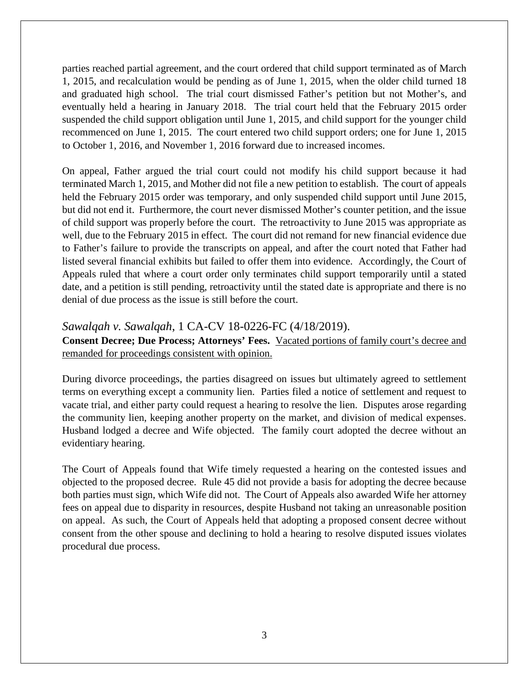parties reached partial agreement, and the court ordered that child support terminated as of March 1, 2015, and recalculation would be pending as of June 1, 2015, when the older child turned 18 and graduated high school. The trial court dismissed Father's petition but not Mother's, and eventually held a hearing in January 2018. The trial court held that the February 2015 order suspended the child support obligation until June 1, 2015, and child support for the younger child recommenced on June 1, 2015. The court entered two child support orders; one for June 1, 2015 to October 1, 2016, and November 1, 2016 forward due to increased incomes.

On appeal, Father argued the trial court could not modify his child support because it had terminated March 1, 2015, and Mother did not file a new petition to establish. The court of appeals held the February 2015 order was temporary, and only suspended child support until June 2015, but did not end it. Furthermore, the court never dismissed Mother's counter petition, and the issue of child support was properly before the court. The retroactivity to June 2015 was appropriate as well, due to the February 2015 in effect. The court did not remand for new financial evidence due to Father's failure to provide the transcripts on appeal, and after the court noted that Father had listed several financial exhibits but failed to offer them into evidence. Accordingly, the Court of Appeals ruled that where a court order only terminates child support temporarily until a stated date, and a petition is still pending, retroactivity until the stated date is appropriate and there is no denial of due process as the issue is still before the court.

### *Sawalqah v. Sawalqah*, 1 CA-CV 18-0226-FC (4/18/2019).

**Consent Decree; Due Process; Attorneys' Fees.** Vacated portions of family court's decree and remanded for proceedings consistent with opinion.

During divorce proceedings, the parties disagreed on issues but ultimately agreed to settlement terms on everything except a community lien. Parties filed a notice of settlement and request to vacate trial, and either party could request a hearing to resolve the lien. Disputes arose regarding the community lien, keeping another property on the market, and division of medical expenses. Husband lodged a decree and Wife objected. The family court adopted the decree without an evidentiary hearing.

The Court of Appeals found that Wife timely requested a hearing on the contested issues and objected to the proposed decree. Rule 45 did not provide a basis for adopting the decree because both parties must sign, which Wife did not. The Court of Appeals also awarded Wife her attorney fees on appeal due to disparity in resources, despite Husband not taking an unreasonable position on appeal. As such, the Court of Appeals held that adopting a proposed consent decree without consent from the other spouse and declining to hold a hearing to resolve disputed issues violates procedural due process.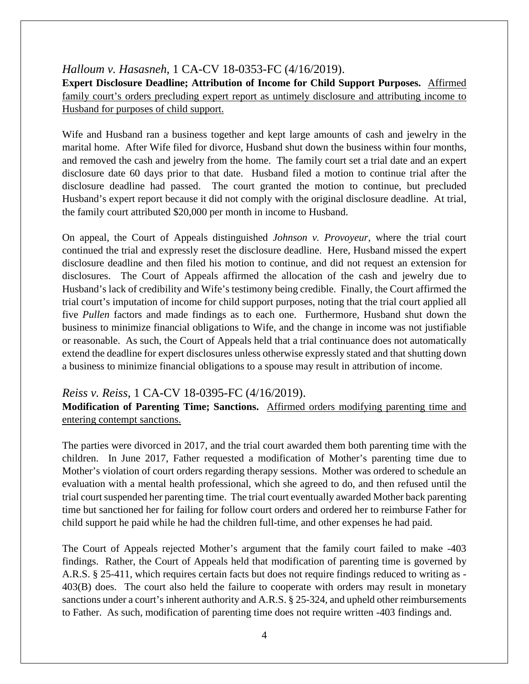### *Halloum v. Hasasneh*, 1 CA-CV 18-0353-FC (4/16/2019).

**Expert Disclosure Deadline; Attribution of Income for Child Support Purposes.** Affirmed family court's orders precluding expert report as untimely disclosure and attributing income to Husband for purposes of child support.

Wife and Husband ran a business together and kept large amounts of cash and jewelry in the marital home. After Wife filed for divorce, Husband shut down the business within four months, and removed the cash and jewelry from the home. The family court set a trial date and an expert disclosure date 60 days prior to that date. Husband filed a motion to continue trial after the disclosure deadline had passed. The court granted the motion to continue, but precluded Husband's expert report because it did not comply with the original disclosure deadline. At trial, the family court attributed \$20,000 per month in income to Husband.

On appeal, the Court of Appeals distinguished *Johnson v. Provoyeur*, where the trial court continued the trial and expressly reset the disclosure deadline. Here, Husband missed the expert disclosure deadline and then filed his motion to continue, and did not request an extension for disclosures. The Court of Appeals affirmed the allocation of the cash and jewelry due to Husband's lack of credibility and Wife's testimony being credible. Finally, the Court affirmed the trial court's imputation of income for child support purposes, noting that the trial court applied all five *Pullen* factors and made findings as to each one. Furthermore, Husband shut down the business to minimize financial obligations to Wife, and the change in income was not justifiable or reasonable. As such, the Court of Appeals held that a trial continuance does not automatically extend the deadline for expert disclosures unless otherwise expressly stated and that shutting down a business to minimize financial obligations to a spouse may result in attribution of income.

### *Reiss v. Reiss*, 1 CA-CV 18-0395-FC (4/16/2019).

**Modification of Parenting Time; Sanctions.** Affirmed orders modifying parenting time and entering contempt sanctions.

The parties were divorced in 2017, and the trial court awarded them both parenting time with the children. In June 2017, Father requested a modification of Mother's parenting time due to Mother's violation of court orders regarding therapy sessions. Mother was ordered to schedule an evaluation with a mental health professional, which she agreed to do, and then refused until the trial court suspended her parenting time. The trial court eventually awarded Mother back parenting time but sanctioned her for failing for follow court orders and ordered her to reimburse Father for child support he paid while he had the children full-time, and other expenses he had paid.

The Court of Appeals rejected Mother's argument that the family court failed to make -403 findings. Rather, the Court of Appeals held that modification of parenting time is governed by A.R.S. § 25-411, which requires certain facts but does not require findings reduced to writing as - 403(B) does. The court also held the failure to cooperate with orders may result in monetary sanctions under a court's inherent authority and A.R.S. § 25-324, and upheld other reimbursements to Father. As such, modification of parenting time does not require written -403 findings and.